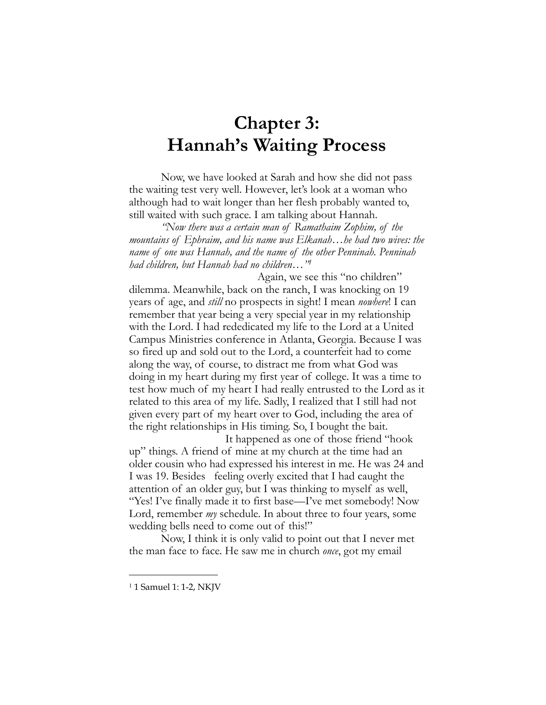## **Chapter 3: Hannah's Waiting Process**

Now, we have looked at Sarah and how she did not pass the waiting test very well. However, let's look at a woman who although had to wait longer than her flesh probably wanted to, still waited with such grace. I am talking about Hannah.

*"Now there was a certain man of Ramathaim Zophim, of the mountains of Ephraim, and his name was Elkanah…he had two wives: the name of one was Hannah, and the name of the other Penninah. Penninah had children, but Hannah had no children…["1](#page-0-0)*

Again, we see this "no children" dilemma. Meanwhile, back on the ranch, I was knocking on 19 years of age, and *still* no prospects in sight! I mean *nowhere*! I can remember that year being a very special year in my relationship with the Lord. I had rededicated my life to the Lord at a United Campus Ministries conference in Atlanta, Georgia. Because I was so fired up and sold out to the Lord, a counterfeit had to come along the way, of course, to distract me from what God was doing in my heart during my first year of college. It was a time to test how much of my heart I had really entrusted to the Lord as it related to this area of my life. Sadly, I realized that I still had not given every part of my heart over to God, including the area of the right relationships in His timing. So, I bought the bait.

 It happened as one of those friend "hook up" things. A friend of mine at my church at the time had an older cousin who had expressed his interest in me. He was 24 and I was 19. Besides feeling overly excited that I had caught the attention of an older guy, but I was thinking to myself as well, "Yes! I've finally made it to first base—I've met somebody! Now Lord, remember *my* schedule. In about three to four years, some wedding bells need to come out of this!"

 Now, I think it is only valid to point out that I never met the man face to face. He saw me in church *once*, got my email

<span id="page-0-0"></span><sup>&</sup>lt;sup>1</sup> 1 Samuel 1: 1-2, NKJV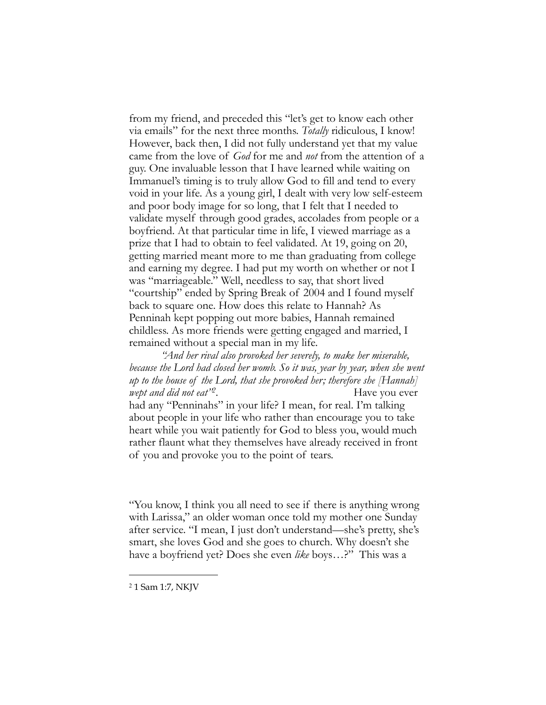from my friend, and preceded this "let's get to know each other via emails" for the next three months. *Totally* ridiculous, I know! However, back then, I did not fully understand yet that my value came from the love of *God* for me and *not* from the attention of a guy. One invaluable lesson that I have learned while waiting on Immanuel's timing is to truly allow God to fill and tend to every void in your life. As a young girl, I dealt with very low self-esteem and poor body image for so long, that I felt that I needed to validate myself through good grades, accolades from people or a boyfriend. At that particular time in life, I viewed marriage as a prize that I had to obtain to feel validated. At 19, going on 20, getting married meant more to me than graduating from college and earning my degree. I had put my worth on whether or not I was "marriageable." Well, needless to say, that short lived "courtship" ended by Spring Break of 2004 and I found myself back to square one. How does this relate to Hannah? As Penninah kept popping out more babies, Hannah remained childless. As more friends were getting engaged and married, I remained without a special man in my life.

 *"And her rival also provoked her severely, to make her miserable, because the Lord had closed her womb. So it was, year by year, when she went up to the house of the Lord, that she provoked her; therefore she [Hannah] wept and did not eat*<sup>22</sup>*.* Have you ever

had any "Penninahs" in your life? I mean, for real. I'm talking about people in your life who rather than encourage you to take heart while you wait patiently for God to bless you, would much rather flaunt what they themselves have already received in front of you and provoke you to the point of tears.

"You know, I think you all need to see if there is anything wrong with Larissa," an older woman once told my mother one Sunday after service. "I mean, I just don't understand—she's pretty, she's smart, she loves God and she goes to church. Why doesn't she have a boyfriend yet? Does she even *like* boys…?" This was a

<span id="page-1-0"></span><sup>2</sup> 1 Sam 1:7, NKJV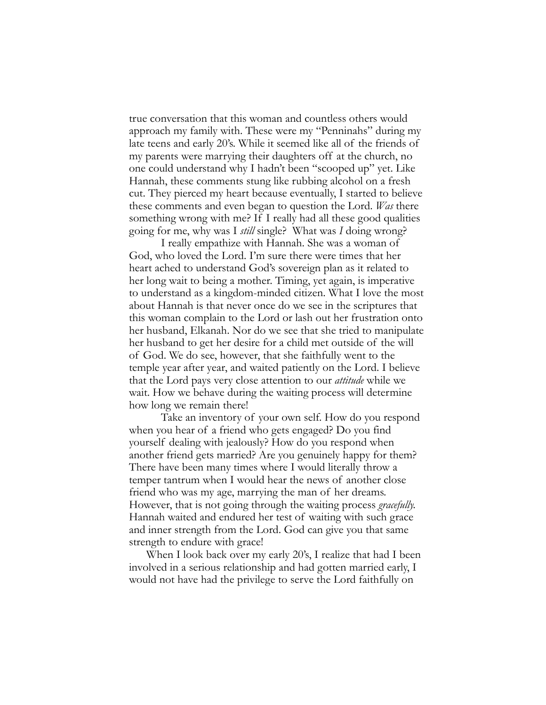true conversation that this woman and countless others would approach my family with. These were my "Penninahs" during my late teens and early 20's. While it seemed like all of the friends of my parents were marrying their daughters off at the church, no one could understand why I hadn't been "scooped up" yet. Like Hannah, these comments stung like rubbing alcohol on a fresh cut. They pierced my heart because eventually, I started to believe these comments and even began to question the Lord. *Was* there something wrong with me? If I really had all these good qualities going for me, why was I *still* single? What was *I* doing wrong?

 I really empathize with Hannah. She was a woman of God, who loved the Lord. I'm sure there were times that her heart ached to understand God's sovereign plan as it related to her long wait to being a mother. Timing, yet again, is imperative to understand as a kingdom-minded citizen. What I love the most about Hannah is that never once do we see in the scriptures that this woman complain to the Lord or lash out her frustration onto her husband, Elkanah. Nor do we see that she tried to manipulate her husband to get her desire for a child met outside of the will of God. We do see, however, that she faithfully went to the temple year after year, and waited patiently on the Lord. I believe that the Lord pays very close attention to our *attitude* while we wait. How we behave during the waiting process will determine how long we remain there!

Take an inventory of your own self. How do you respond when you hear of a friend who gets engaged? Do you find yourself dealing with jealously? How do you respond when another friend gets married? Are you genuinely happy for them? There have been many times where I would literally throw a temper tantrum when I would hear the news of another close friend who was my age, marrying the man of her dreams. However, that is not going through the waiting process *gracefully.*  Hannah waited and endured her test of waiting with such grace and inner strength from the Lord. God can give you that same strength to endure with grace!

 When I look back over my early 20's, I realize that had I been involved in a serious relationship and had gotten married early, I would not have had the privilege to serve the Lord faithfully on